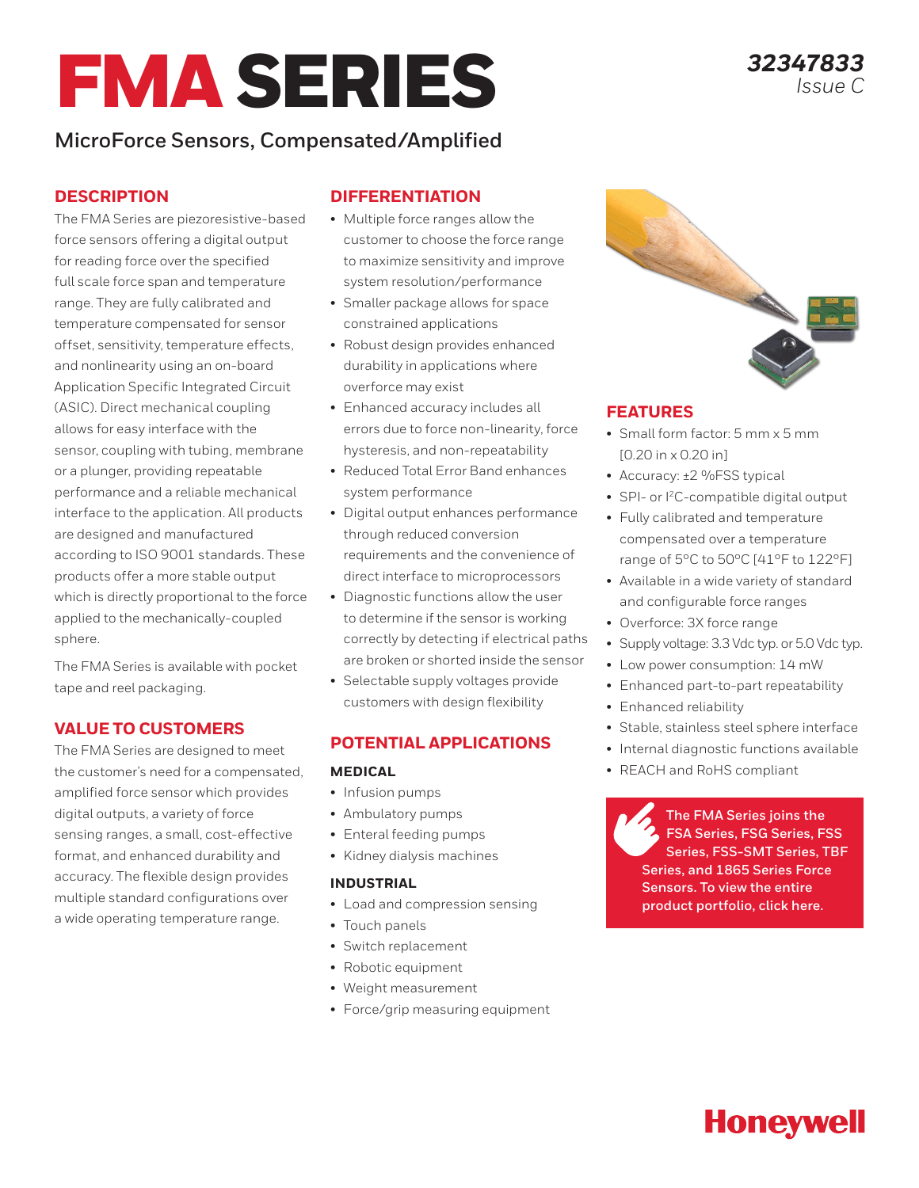# FMA SERIES

## **MicroForce Sensors, Compensated/Amplified**

#### **DESCRIPTION**

The FMA Series are piezoresistive-based force sensors offering a digital output for reading force over the specified full scale force span and temperature range. They are fully calibrated and temperature compensated for sensor offset, sensitivity, temperature effects, and nonlinearity using an on-board Application Specific Integrated Circuit (ASIC). Direct mechanical coupling allows for easy interface with the sensor, coupling with tubing, membrane or a plunger, providing repeatable performance and a reliable mechanical interface to the application. All products are designed and manufactured according to ISO 9001 standards. These products offer a more stable output which is directly proportional to the force applied to the mechanically-coupled sphere.

The FMA Series is available with pocket tape and reel packaging.

#### **VALUE TO CUSTOMERS**

The FMA Series are designed to meet the customer's need for a compensated, amplified force sensor which provides digital outputs, a variety of force sensing ranges, a small, cost-effective format, and enhanced durability and accuracy. The flexible design provides multiple standard configurations over a wide operating temperature range.

#### **DIFFERENTIATION**

- Multiple force ranges allow the customer to choose the force range to maximize sensitivity and improve system resolution/performance
- Smaller package allows for space constrained applications
- Robust design provides enhanced durability in applications where overforce may exist
- Enhanced accuracy includes all errors due to force non-linearity, force hysteresis, and non-repeatability
- Reduced Total Error Band enhances system performance
- Digital output enhances performance through reduced conversion requirements and the convenience of direct interface to microprocessors
- Diagnostic functions allow the user to determine if the sensor is working correctly by detecting if electrical paths are broken or shorted inside the sensor
- Selectable supply voltages provide customers with design flexibility

#### **POTENTIAL APPLICATIONS**

#### **MEDICAL**

- Infusion pumps
- Ambulatory pumps
- Enteral feeding pumps
- Kidney dialysis machines

#### **INDUSTRIAL**

- Load and compression sensing
- Touch panels
- Switch replacement
- Robotic equipment
- Weight measurement
- Force/grip measuring equipment



#### **FEATURES**

- Small form factor: 5 mm x 5 mm [0.20 in x 0.20 in]
- Accuracy: ±2 %FSS typical
- SPI- or  $1^2C$ -compatible digital output
- Fully calibrated and temperature compensated over a temperature range of 5°C to 50°C [41°F to 122°F]
- Available in a wide variety of standard and configurable force ranges
- Overforce: 3X force range
- Supply voltage: 3.3 Vdc typ. or 5.0 Vdc typ.
- Low power consumption: 14 mW
- Enhanced part-to-part repeatability
- Enhanced reliability
- Stable, stainless steel sphere interface
- Internal diagnostic functions available
- REACH and RoHS compliant

**The FMA Series joins the FSA Series, FSG Series, FSS Series, FSS-SMT Series, TBF Series, and 1865 Series Force Sensors. To view the entire product portfolio, click here.**

# **Honeywell**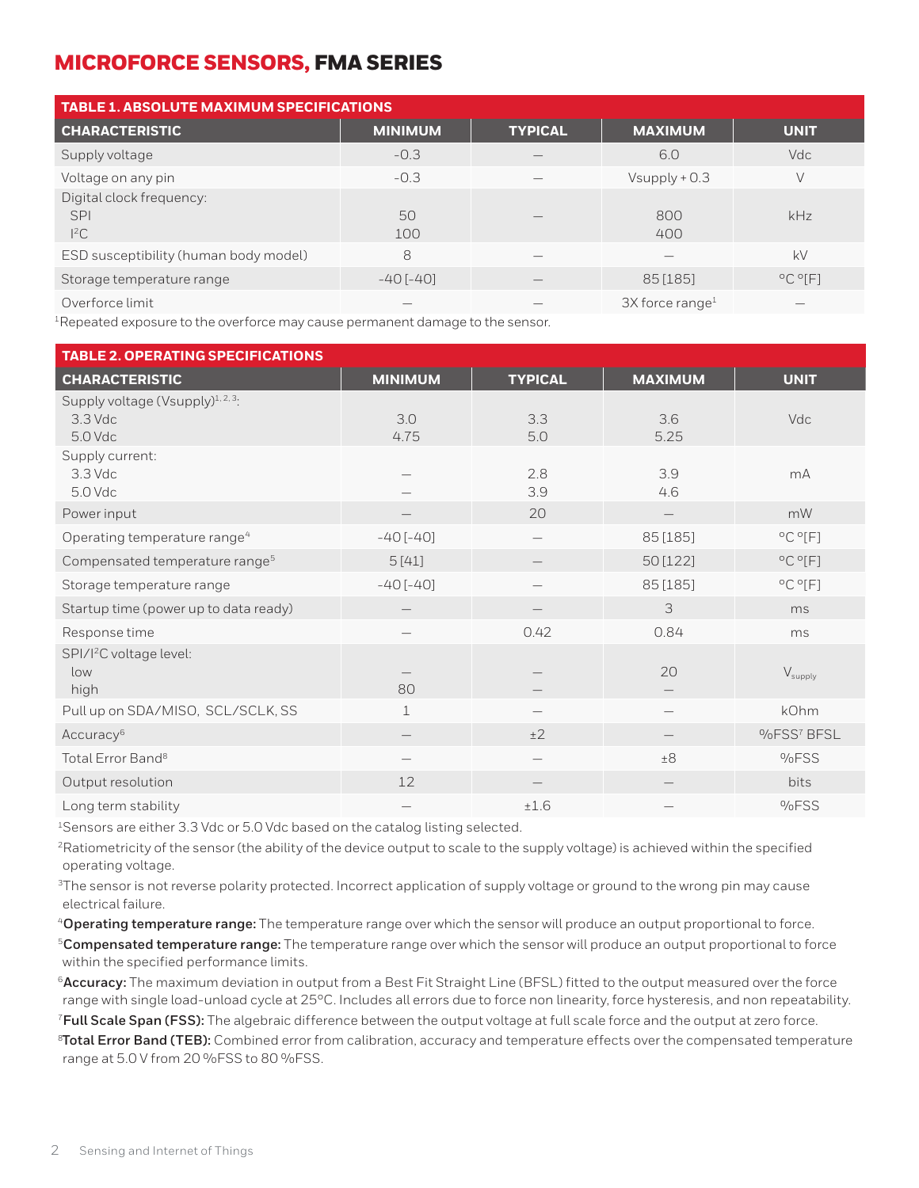| <b>TABLE 1. ABSOLUTE MAXIMUM SPECIFICATIONS</b>  |                 |                |                               |                            |
|--------------------------------------------------|-----------------|----------------|-------------------------------|----------------------------|
| <b>CHARACTERISTIC</b>                            | <b>MINIMUM</b>  | <b>TYPICAL</b> | <b>MAXIMUM</b>                | <b>UNIT</b>                |
| Supply voltage                                   | $-0.3$          |                | 6.0                           | Vdc                        |
| Voltage on any pin                               | $-0.3$          |                | $V$ supply + 0.3              | V                          |
| Digital clock frequency:<br><b>SPI</b><br>$l^2C$ | 50<br>100       | -              | 800<br>400                    | kHz                        |
| ESD susceptibility (human body model)            | 8               |                |                               | kV                         |
| Storage temperature range                        | $-40$ [ $-40$ ] |                | 85 [185]                      | $^{\circ}$ C $^{\circ}$ F1 |
| Overforce limit                                  |                 |                | $3X$ force range <sup>1</sup> |                            |

 $1$ Repeated exposure to the overforce may cause permanent damage to the sensor.

| <b>TABLE 2. OPERATING SPECIFICATIONS</b>                              |                 |                |                   |                             |
|-----------------------------------------------------------------------|-----------------|----------------|-------------------|-----------------------------|
| <b>CHARACTERISTIC</b>                                                 | <b>MINIMUM</b>  | <b>TYPICAL</b> | <b>MAXIMUM</b>    | <b>UNIT</b>                 |
| Supply voltage (Vsupply) <sup>1, 2, 3</sup> :<br>$3.3$ Vdc<br>5.0 Vdc | 3.0<br>4.75     | 3.3<br>5.0     | 3.6<br>5.25       | Vdc                         |
| Supply current:<br>$3.3$ Vdc<br>5.0 Vdc                               |                 | 2.8<br>3.9     | 3.9<br>4.6        | mA                          |
| Power input                                                           |                 | 20             | $\qquad \qquad -$ | mW                          |
| Operating temperature range <sup>4</sup>                              | $-40[-40]$      |                | 85 [185]          | $^{\circ}$ C $^{\circ}$ [F] |
| Compensated temperature range <sup>5</sup>                            | 5[41]           |                | 50 [122]          | $^{\circ}$ C $^{\circ}$ [F] |
| Storage temperature range                                             | $-40$ [ $-40$ ] |                | 85 [185]          | $^{\circ}$ C $^{\circ}$ [F] |
| Startup time (power up to data ready)                                 |                 |                | 3                 | ms                          |
| Response time                                                         |                 | 0.42           | 0.84              | ms                          |
| SPI/I <sup>2</sup> C voltage level:<br>low<br>high                    | 80              |                | 20                | $V_{\text{supply}}$         |
| Pull up on SDA/MISO, SCL/SCLK, SS                                     | $\mathbf 1$     |                |                   | kOhm                        |
| Accuracy <sup>6</sup>                                                 |                 | ±2             |                   | %FSS7 BFSL                  |
| Total Error Band <sup>8</sup>                                         |                 |                | $\pm 8$           | %FSS                        |
| Output resolution                                                     | 12              |                |                   | bits                        |
| Long term stability                                                   |                 | ±1.6           |                   | %FSS                        |

<sup>1</sup>Sensors are either 3.3 Vdc or 5.0 Vdc based on the catalog listing selected.

<sup>2</sup>Ratiometricity of the sensor (the ability of the device output to scale to the supply voltage) is achieved within the specified operating voltage.

<sup>3</sup>The sensor is not reverse polarity protected. Incorrect application of supply voltage or ground to the wrong pin may cause electrical failure.

<sup>4</sup>**Operating temperature range:** The temperature range over which the sensor will produce an output proportional to force. <sup>5</sup>**Compensated temperature range:** The temperature range over which the sensor will produce an output proportional to force within the specified performance limits.

<sup>6</sup>**Accuracy:** The maximum deviation in output from a Best Fit Straight Line (BFSL) fitted to the output measured over the force range with single load-unload cycle at 25°C. Includes all errors due to force non linearity, force hysteresis, and non repeatability.

<sup>7</sup>**Full Scale Span (FSS):** The algebraic difference between the output voltage at full scale force and the output at zero force. 8 **Total Error Band (TEB):** Combined error from calibration, accuracy and temperature effects over the compensated temperature range at 5.0 V from 20 %FSS to 80 %FSS.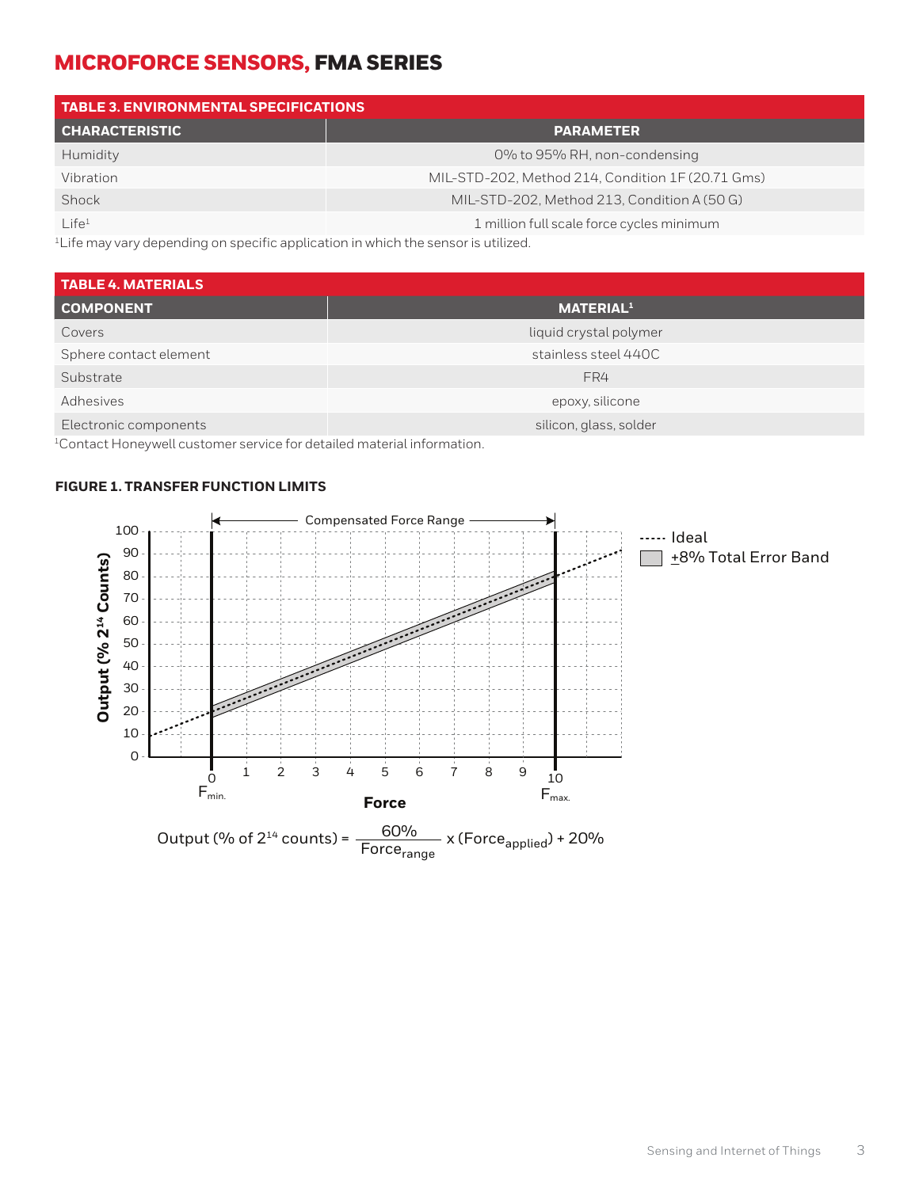| <b>TABLE 3. ENVIRONMENTAL SPECIFICATIONS</b> |                                                   |  |  |
|----------------------------------------------|---------------------------------------------------|--|--|
| <b>CHARACTERISTIC</b>                        | <b>PARAMETER</b>                                  |  |  |
| Humidity                                     | 0% to 95% RH, non-condensing                      |  |  |
| Vibration                                    | MIL-STD-202, Method 214, Condition 1F (20.71 Gms) |  |  |
| Shock                                        | MIL-STD-202, Method 213, Condition A (50 G)       |  |  |
| $L$ ife <sup>1</sup>                         | 1 million full scale force cycles minimum         |  |  |

<sup>1</sup>Life may vary depending on specific application in which the sensor is utilized.

| <b>TABLE 4. MATERIALS</b> |                              |
|---------------------------|------------------------------|
| <b>COMPONENT</b>          | <b>MATERIAL</b> <sup>1</sup> |
| Covers                    | liquid crystal polymer       |
| Sphere contact element    | stainless steel 440C         |
| Substrate                 | FR4                          |
| Adhesives                 | epoxy, silicone              |
| Electronic components     | silicon, glass, solder       |
|                           |                              |

<sup>1</sup>Contact Honeywell customer service for detailed material information.

#### **FIGURE 1. TRANSFER FUNCTION LIMITS**

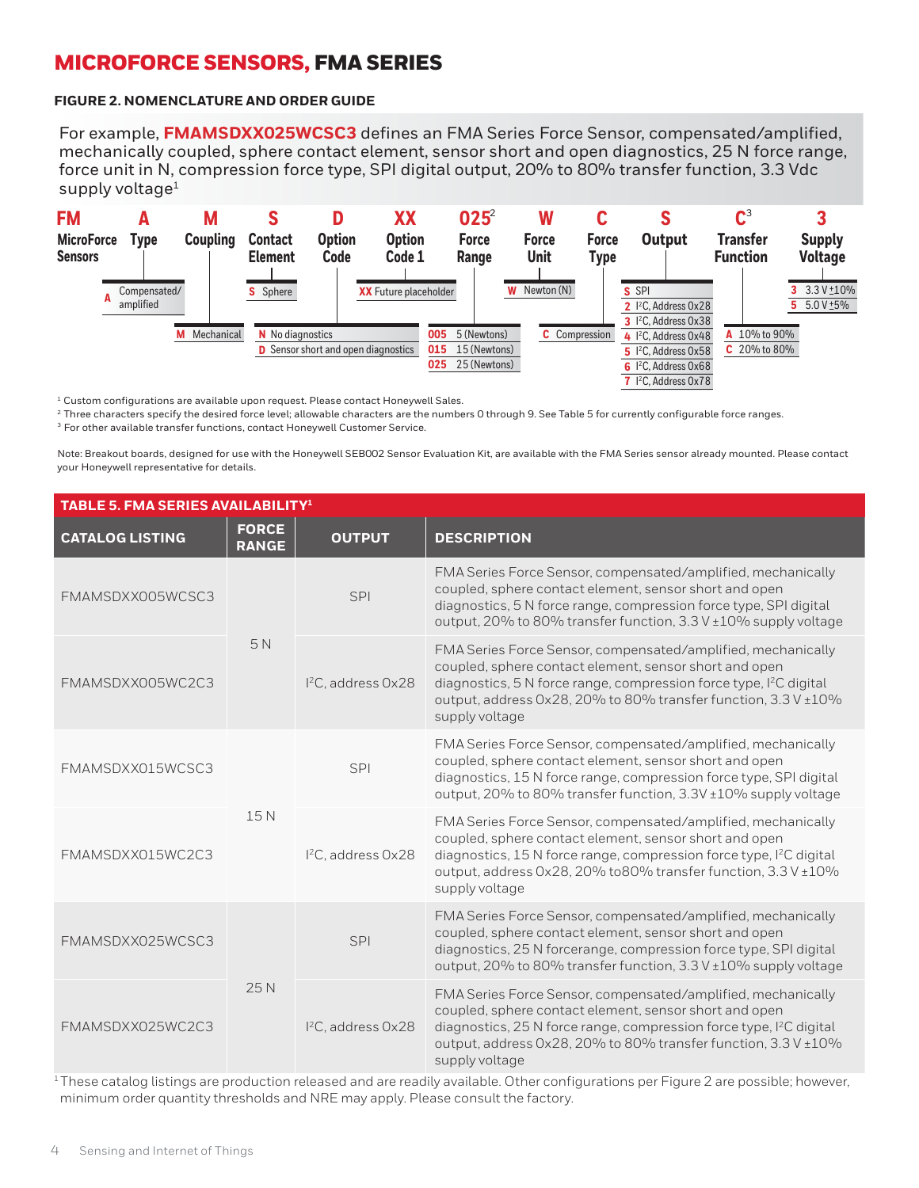#### **FIGURE 2. NOMENCLATURE AND ORDER GUIDE**

For example, **FMAMSDXX025WCSC3** defines an FMA Series Force Sensor, compensated/amplified, mechanically coupled, sphere contact element, sensor short and open diagnostics, 25 N force range, force unit in N, compression force type, SPI digital output, 20% to 80% transfer function, 3.3 Vdc supply voltage<sup>1</sup>



 $1$  Custom configurations are available upon request. Please contact Honeywell Sales.

<sup>2</sup> Three characters specify the desired force level; allowable characters are the numbers 0 through 9. See Table 5 for currently configurable force ranges.

3 For other available transfer functions, contact Honeywell Customer Service.

Note: Breakout boards, designed for use with the Honeywell SEB002 Sensor Evaluation Kit, are available with the FMA Series sensor already mounted. Please contact your Honeywell representative for details.

| <b>TABLE 5. FMA SERIES AVAILABILITY<sup>1</sup></b> |                              |                                |                                                                                                                                                                                                                                                                                               |
|-----------------------------------------------------|------------------------------|--------------------------------|-----------------------------------------------------------------------------------------------------------------------------------------------------------------------------------------------------------------------------------------------------------------------------------------------|
| <b>CATALOG LISTING</b>                              | <b>FORCE</b><br><b>RANGE</b> | <b>OUTPUT</b>                  | <b>DESCRIPTION</b>                                                                                                                                                                                                                                                                            |
| FMAMSDXX005WCSC3                                    | 5N                           | SPI                            | FMA Series Force Sensor, compensated/amplified, mechanically<br>coupled, sphere contact element, sensor short and open<br>diagnostics, 5 N force range, compression force type, SPI digital<br>output, 20% to 80% transfer function, 3.3 V ±10% supply voltage                                |
| FMAMSDXX005WC2C3                                    |                              | I <sup>2</sup> C, address 0x28 | FMA Series Force Sensor, compensated/amplified, mechanically<br>coupled, sphere contact element, sensor short and open<br>diagnostics, 5 N force range, compression force type, I <sup>2</sup> C digital<br>output, address 0x28, 20% to 80% transfer function, 3.3 V ±10%<br>supply voltage  |
| FMAMSDXX015WCSC3                                    | 15N                          | SPI                            | FMA Series Force Sensor, compensated/amplified, mechanically<br>coupled, sphere contact element, sensor short and open<br>diagnostics, 15 N force range, compression force type, SPI digital<br>output, 20% to 80% transfer function, 3.3V ±10% supply voltage                                |
| FMAMSDXX015WC2C3                                    |                              | I <sup>2</sup> C, address 0x28 | FMA Series Force Sensor, compensated/amplified, mechanically<br>coupled, sphere contact element, sensor short and open<br>diagnostics, 15 N force range, compression force type, I <sup>2</sup> C digital<br>output, address 0x28, 20% to80% transfer function, 3.3 V ±10%<br>supply voltage  |
| FMAMSDXX025WCSC3                                    | 25N                          | SPI                            | FMA Series Force Sensor, compensated/amplified, mechanically<br>coupled, sphere contact element, sensor short and open<br>diagnostics, 25 N forcerange, compression force type, SPI digital<br>output, 20% to 80% transfer function, 3.3 V ±10% supply voltage                                |
| FMAMSDXX025WC2C3                                    |                              | I <sup>2</sup> C, address 0x28 | FMA Series Force Sensor, compensated/amplified, mechanically<br>coupled, sphere contact element, sensor short and open<br>diagnostics, 25 N force range, compression force type, I <sup>2</sup> C digital<br>output, address 0x28, 20% to 80% transfer function, 3.3 V ±10%<br>supply voltage |

 $1$ These catalog listings are production released and are readily available. Other configurations per Figure 2 are possible; however, minimum order quantity thresholds and NRE may apply. Please consult the factory.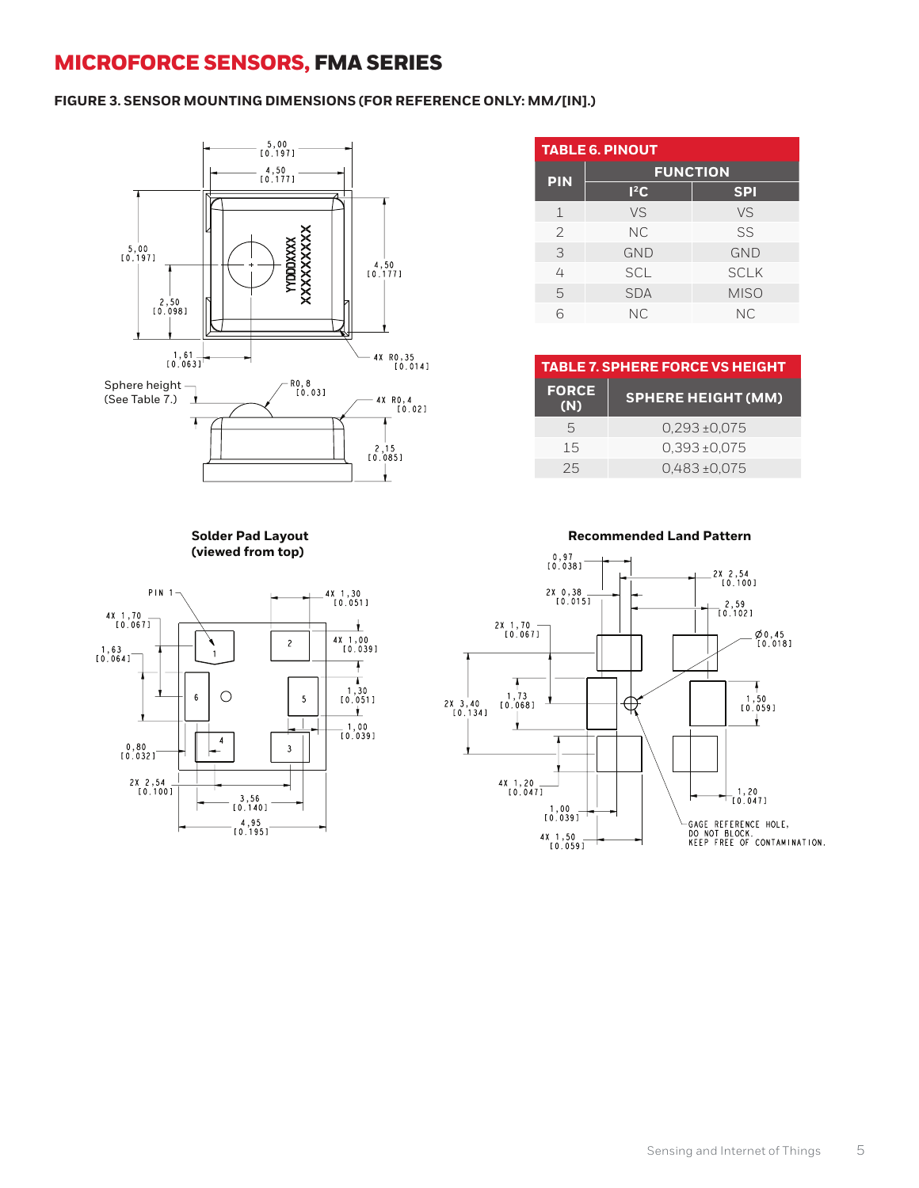#### **FIGURE 3. SENSOR MOUNTING DIMENSIONS (FOR REFERENCE ONLY: MM/[IN].)**



## **(viewed from top)**



| <b>TABLE 6. PINOUT</b> |                 |             |  |  |
|------------------------|-----------------|-------------|--|--|
| <b>PIN</b>             | <b>FUNCTION</b> |             |  |  |
|                        | $l^2C$          | <b>SPI</b>  |  |  |
| $\perp$                | VS              | VS          |  |  |
| 2                      | <b>NC</b>       | SS          |  |  |
| 3                      | <b>GND</b>      | <b>GND</b>  |  |  |
| 4                      | <b>SCL</b>      | <b>SCLK</b> |  |  |
| 5                      | <b>SDA</b>      | <b>MISO</b> |  |  |
| ൳                      | <b>NC</b>       | NС          |  |  |

| <b>TABLE 7. SPHERE FORCE VS HEIGHT</b> |                           |  |
|----------------------------------------|---------------------------|--|
| <b>FORCE</b><br>(N)                    | <b>SPHERE HEIGHT (MM)</b> |  |
| 5                                      | $0.293 \pm 0.075$         |  |
| 1.5                                    | $0.393 \pm 0.075$         |  |
| 25                                     | $0.483 \pm 0.075$         |  |

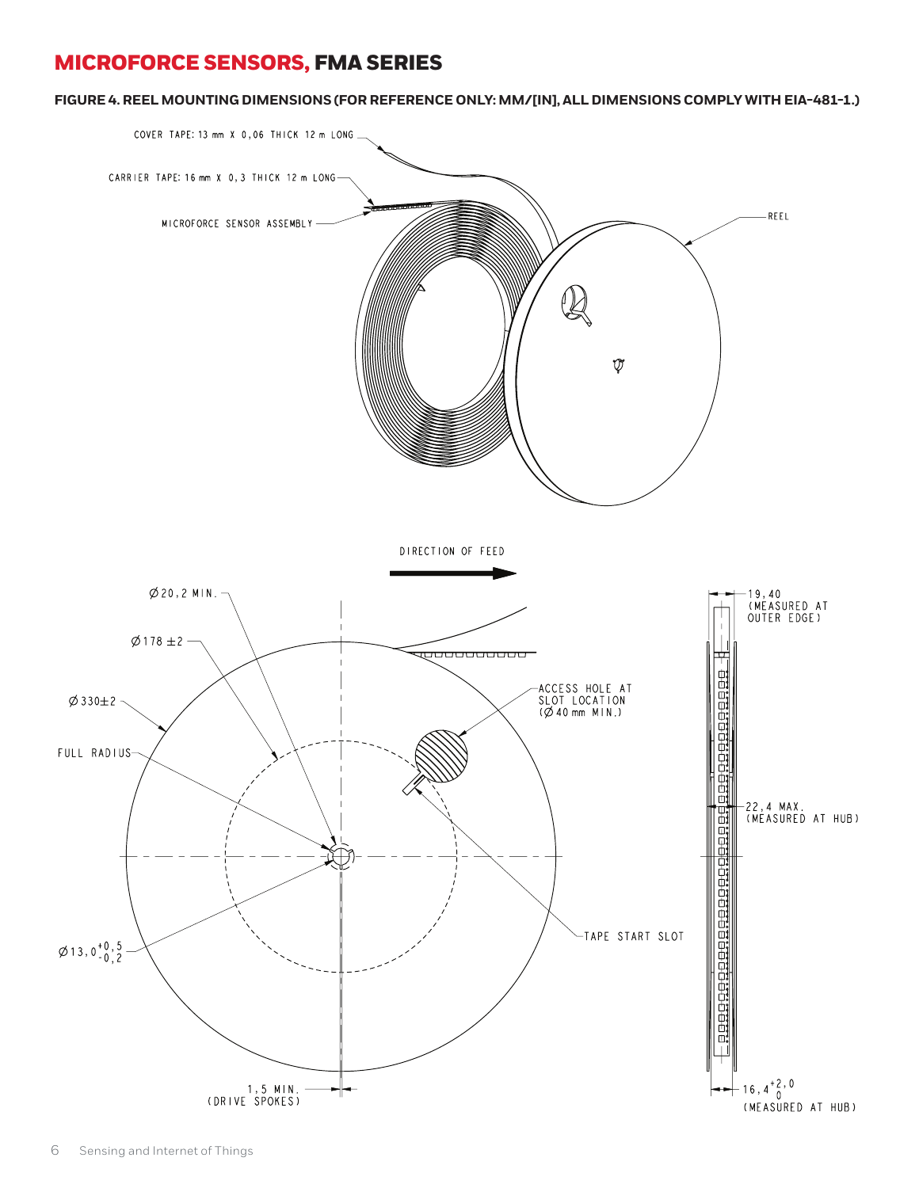**FIGURE 4. REEL MOUNTING DIMENSIONS (FOR REFERENCE ONLY: MM/[IN], ALL DIMENSIONS COMPLY WITH EIA-481-1.)**

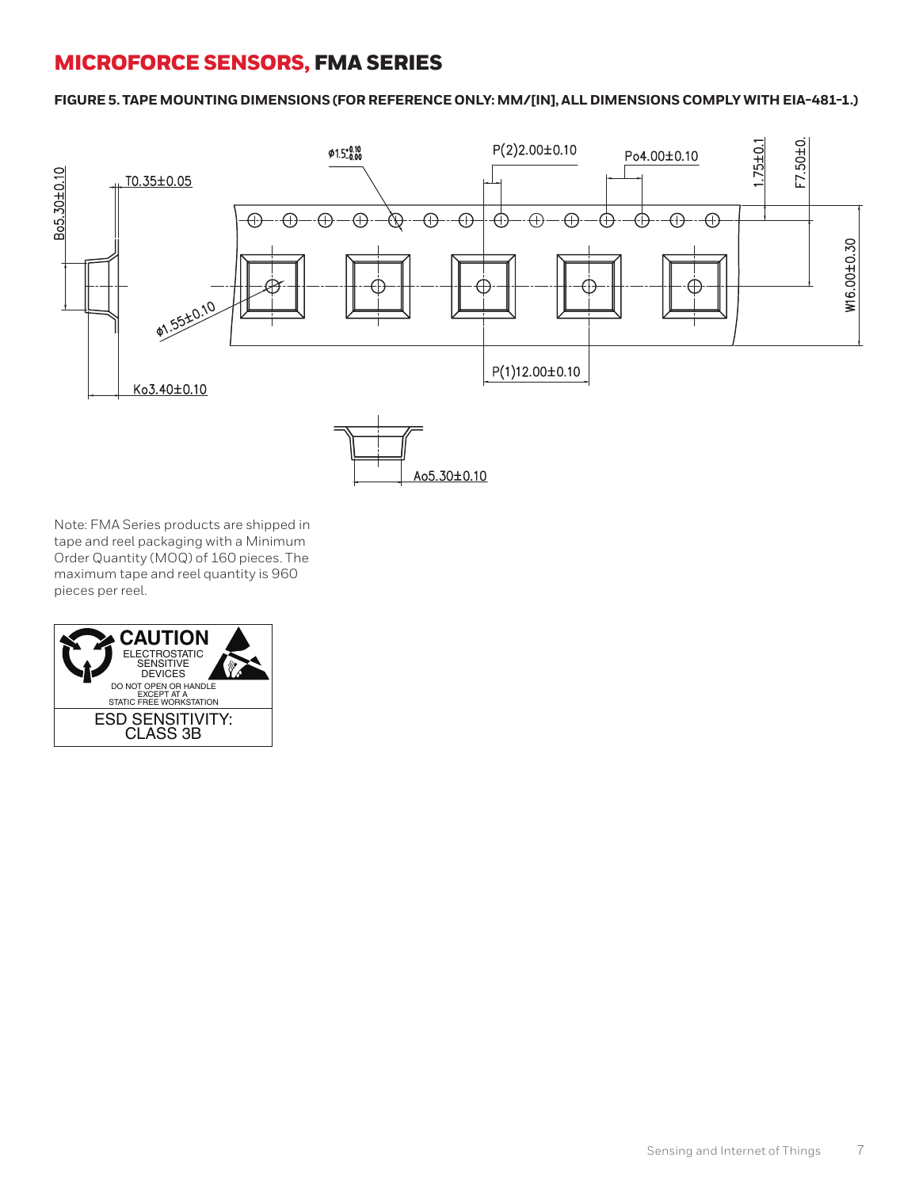**FIGURE 5. TAPE MOUNTING DIMENSIONS (FOR REFERENCE ONLY: MM/[IN], ALL DIMENSIONS COMPLY WITH EIA-481-1.)**



Note: FMA Series products are shipped in tape and reel packaging with a Minimum Order Quantity (MOQ) of 160 pieces. The maximum tape and reel quantity is 960 pieces per reel.